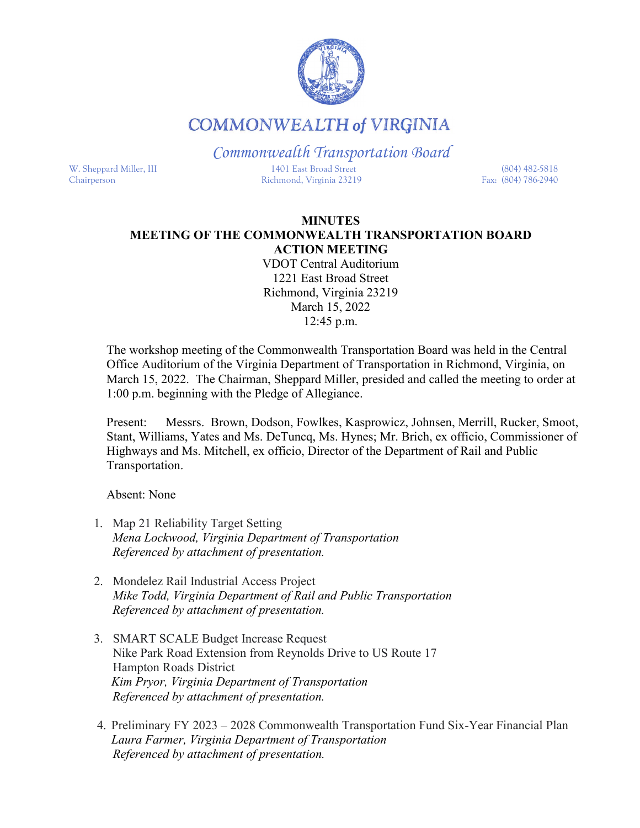

## **COMMONWEALTH of VIRGINIA**

*Commonwealth Transportation Board* W. Sheppard Miller, III 1401 East Broad Street (804) 482-5818 Chairperson Richmond, Virginia 23219 Fax: (804) 786-2940

## **MINUTES MEETING OF THE COMMONWEALTH TRANSPORTATION BOARD ACTION MEETING**

VDOT Central Auditorium 1221 East Broad Street Richmond, Virginia 23219 March 15, 2022 12:45 p.m.

The workshop meeting of the Commonwealth Transportation Board was held in the Central Office Auditorium of the Virginia Department of Transportation in Richmond, Virginia, on March 15, 2022. The Chairman, Sheppard Miller, presided and called the meeting to order at 1:00 p.m. beginning with the Pledge of Allegiance.

Present: Messrs. Brown, Dodson, Fowlkes, Kasprowicz, Johnsen, Merrill, Rucker, Smoot, Stant, Williams, Yates and Ms. DeTuncq, Ms. Hynes; Mr. Brich, ex officio, Commissioner of Highways and Ms. Mitchell, ex officio, Director of the Department of Rail and Public Transportation.

Absent: None

- 1. Map 21 Reliability Target Setting *Mena Lockwood, Virginia Department of Transportation Referenced by attachment of presentation.*
- 2. Mondelez Rail Industrial Access Project *Mike Todd, Virginia Department of Rail and Public Transportation Referenced by attachment of presentation.*
- 3. SMART SCALE Budget Increase Request Nike Park Road Extension from Reynolds Drive to US Route 17 Hampton Roads District *Kim Pryor, Virginia Department of Transportation Referenced by attachment of presentation.*
- 4. Preliminary FY 2023 2028 Commonwealth Transportation Fund Six-Year Financial Plan *Laura Farmer, Virginia Department of Transportation Referenced by attachment of presentation.*